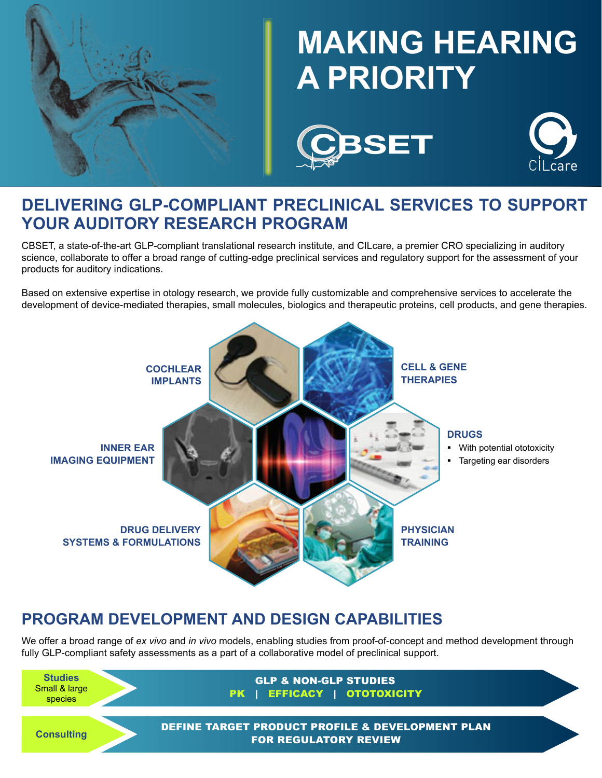

# **MAKING HEARING A PRIORITY**





### **DELIVERING GLP-COMPLIANT PRECLINICAL SERVICES TO SUPPORT YOUR AUDITORY RESEARCH PROGRAM**

CBSET, a state-of-the-art GLP-compliant translational research institute, and CILcare, a premier CRO specializing in auditory science, collaborate to offer a broad range of cutting-edge preclinical services and regulatory support for the assessment of your products for auditory indications.

Based on extensive expertise in otology research, we provide fully customizable and comprehensive services to accelerate the development of device-mediated therapies, small molecules, biologics and therapeutic proteins, cell products, and gene therapies.



## **PROGRAM DEVELOPMENT AND DESIGN CAPABILITIES**

We offer a broad range of *ex vivo* and *in vivo* models, enabling studies from proof-of-concept and method development through fully GLP-compliant safety assessments as a part of a collaborative model of preclinical support.